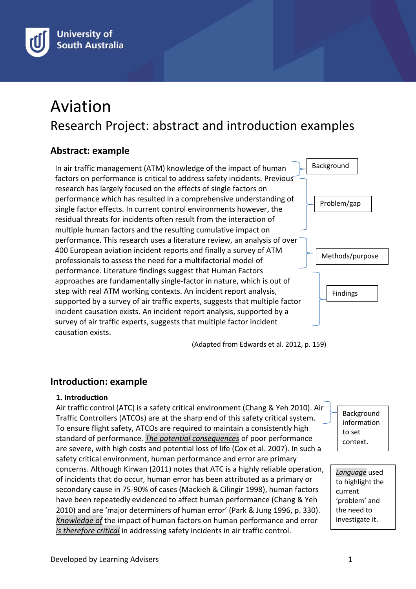

# Aviation Research Project: abstract and introduction examples

# **Abstract: example**

In air traffic management (ATM) knowledge of the impact of human factors on performance is critical to address safety incidents. Previous research has largely focused on the effects of single factors on performance which has resulted in a comprehensive understanding of single factor effects. In current control environments however, the residual threats for incidents often result from the interaction of multiple human factors and the resulting cumulative impact on performance. This research uses a literature review, an analysis of over 400 European aviation incident reports and finally a survey of ATM professionals to assess the need for a multifactorial model of performance. Literature findings suggest that Human Factors approaches are fundamentally single-factor in nature, which is out of step with real ATM working contexts. An incident report analysis, supported by a survey of air traffic experts, suggests that multiple factor incident causation exists. An incident report analysis, supported by a survey of air traffic experts, suggests that multiple factor incident causation exists.

(Adapted from Edwards et al. 2012, p. 159)

# **Introduction: example**

#### **1. Introduction**

Air traffic control (ATC) is a safety critical environment (Chang & Yeh 2010). Air Traffic Controllers (ATCOs) are at the sharp end of this safety critical system. To ensure flight safety, ATCOs are required to maintain a consistently high standard of performance. *The potential consequences* of poor performance are severe, with high costs and potential loss of life (Cox et al. 2007). In such a safety critical environment, human performance and error are primary concerns. Although Kirwan (2011) notes that ATC is a highly reliable operation, of incidents that do occur, human error has been attributed as a primary or secondary cause in 75-90% of cases (Mackieh & Cilingir 1998), human factors have been repeatedly evidenced to affect human performance (Chang & Yeh 2010) and are 'major determiners of human error' (Park & Jung 1996, p. 330). *Knowledge of* the impact of human factors on human performance and error *is therefore critical* in addressing safety incidents in air traffic control.

Background information to set context.

Background

Problem/gap

Methods/purpose

Findings

*Language* used to highlight the current 'problem' and the need to investigate it.